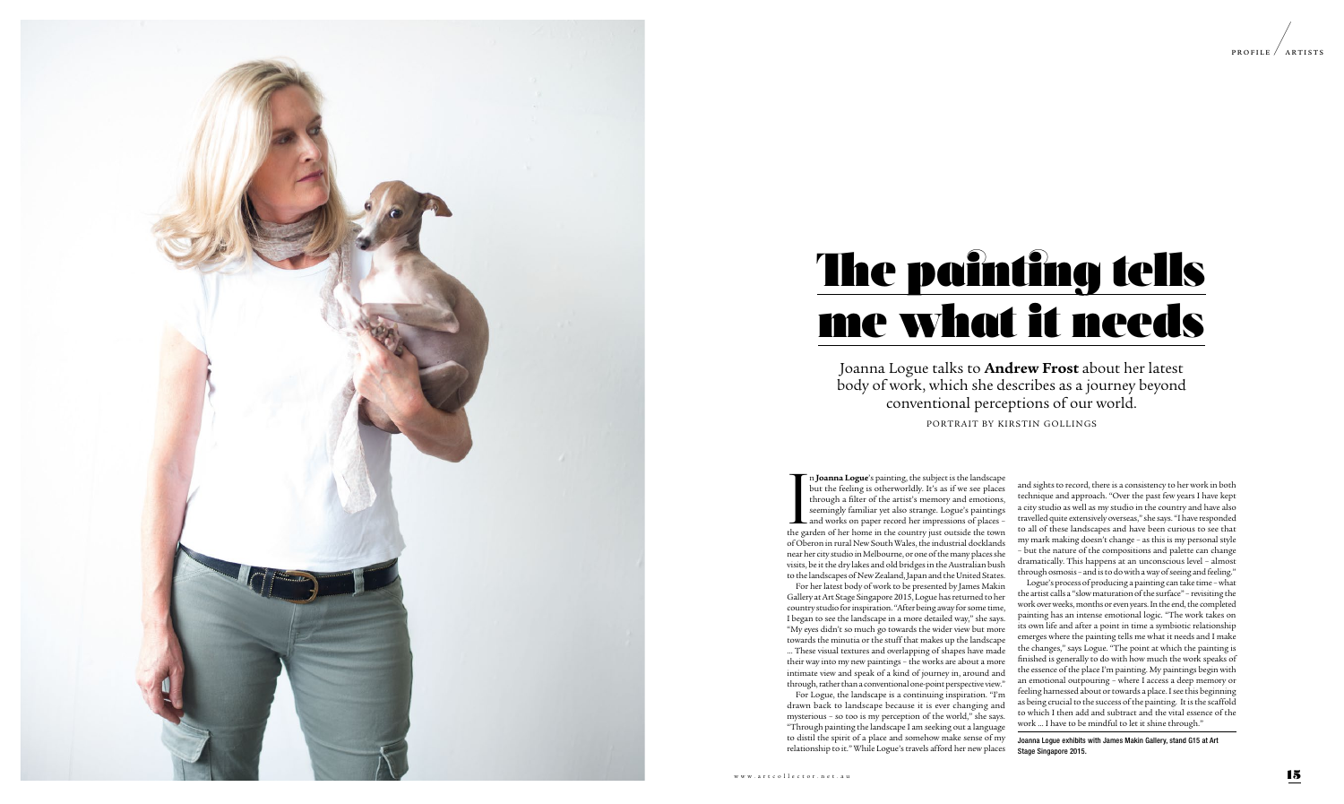



## The painting tells me what it needs

In **Joanna Logue'**s painting, the subject is the landscape<br>but the feeling is otherworldly. It's as if we see places<br>through a filter of the artist's memory and emotions,<br>seemingly familiar yet also strange. Logue's painti n **Joanna Logue**'s painting, the subject is the landscape but the feeling is otherworldly. It's as if we see places through a filter of the artist's memory and emotions, seemingly familiar yet also strange. Logue's paintings and works on paper record her impressions of places – of Oberon in rural New South Wales, the industrial docklands near her city studio in Melbourne, or one of the many places she visits, be it the dry lakes and old bridges in the Australian bush to the landscapes of New Zealand, Japan and the United States.

For her latest body of work to be presented by James Makin Gallery at Art Stage Singapore 2015, Logue has returned to her country studio for inspiration. "After being away for some time, I began to see the landscape in a more detailed way," she says. "My eyes didn't so much go towards the wider view but more towards the minutia or the stuff that makes up the landscape … These visual textures and overlapping of shapes have made their way into my new paintings – the works are about a more intimate view and speak of a kind of journey in, around and through, rather than a conventional one-point perspective view."

For Logue, the landscape is a continuing inspiration. "I'm drawn back to landscape because it is ever changing and mysterious – so too is my perception of the world," she says. "Through painting the landscape I am seeking out a language to distil the spirit of a place and somehow make sense of my relationship to it." While Logue's travels afford her new places and sights to record, there is a consistency to her work in both technique and approach. "Over the past few years I have kept a city studio as well as my studio in the country and have also travelled quite extensively overseas," she says. "I have responded to all of these landscapes and have been curious to see that my mark making doesn't change – as this is my personal style – but the nature of the compositions and palette can change dramatically. This happens at an unconscious level – almost through osmosis – and is to do with a way of seeing and feeling."

Logue's process of producing a painting can take time – what the artist calls a "slow maturation of the surface" – revisiting the work over weeks, months or even years. In the end, the completed painting has an intense emotional logic. "The work takes on its own life and after a point in time a symbiotic relationship emerges where the painting tells me what it needs and I make the changes," says Logue. "The point at which the painting is finished is generally to do with how much the work speaks of the essence of the place I'm painting. My paintings begin with an emotional outpouring – where I access a deep memory or feeling harnessed about or towards a place. I see this beginning as being crucial to the success of the painting. It is the scaffold to which I then add and subtract and the vital essence of the work … I have to be mindful to let it shine through."

Joanna Logue exhibits with James Makin Gallery, stand G15 at Art Stage Singapore 2015.

Joanna Logue talks to **Andrew Frost** about her latest body of work, which she describes as a journey beyond conventional perceptions of our world.

PORTRAIT BY KIRSTIN GOLLINGS